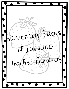rawberry Fields carning avorites Teacher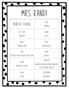| MRS. RANDI                         |                                                                           |
|------------------------------------|---------------------------------------------------------------------------|
| HEAD OF SCHOOL                     | STORE:<br>AMAZON                                                          |
| GIFT (ARD)                         | CANDY:                                                                    |
| STARBUCKS                          | ROLOS                                                                     |
| SNACK:                             | COOKIE:                                                                   |
| GRANOLA BARS                       | SNICKERDOODLE                                                             |
| CAKE:                              | HOBBY:                                                                    |
| RED VELVET WITH CREAM CHEESE ICING | WRITING                                                                   |
| FLOWER:<br>MAGNOLIA FLOWER         | STARBUCKS:<br>CARAMEL MACCHIATO UPSIDE DOWN WITH<br>EXTRA CARAMEL DRIZZLE |
| COLOR:                             | RESTAURANT:                                                               |
| SILVER                             | MAGGIANO'S                                                                |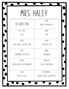#### MRS. HALEY

|                              | STORE:                    |
|------------------------------|---------------------------|
| CO-DIRECTOR                  | TARGET & MARSHALLS        |
| GIFT (ARD)                   | CANDY:                    |
| LUSH                         | TWIX                      |
| SNACK:                       | COOKIE:                   |
| SOUR CREAM & CHEDDAR CHIPS   | CHOCOLATE CHIP            |
| CAKE:                        | HOBBY:                    |
| STRAWBERRY CHEESECAKE        | ORGANIZING                |
| FLOWER:                      | STARBUCKS:                |
| GERBER DAISIES OR HYDRANGEAS | <b>COFFEE FRAPPUCCINO</b> |
| COLOR:                       | RESTAURANT:               |
| PURPLE OR TEAL               | NOODLE HOUSE OR MOD PIZZA |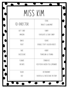# Miss kim

 $\mathbf{I}$ 

|                   | STORE:                         |
|-------------------|--------------------------------|
| CO-DIRECTOR       | TARGET & WALMART               |
| GIFT (ARD)        | CANDY:                         |
| AMAZON            | CHOCOLATE & SOUR CANDY         |
| SNACK:            | COOKIE:                        |
| FRUIT             | DOUBLE STUFF GOLDEN OREO'S     |
| CAKE:             | HOBBY:                         |
| <b>CHEESECAKE</b> | TRAVELING & FISHING            |
| FLOWER:           | STARBUCKS:                     |
| ORCHIDS           | ICED PEACH GREEN TEA LEMONADE  |
| COLOR:            | RESTAURANT:                    |
| RED               | CHICKFILA & CHEESECAKE FACTORY |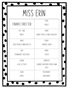## Miss Erin

|                            | STORE:                                 |
|----------------------------|----------------------------------------|
| FINANCE DIRECTOR           | TARGET                                 |
| GIFT (ARD)                 | CANDY:                                 |
| TARGET                     | LINDOR TRUFFLES DARK CHOCOLATE         |
| SNACK:                     | COOKIE:                                |
| SOUR CREAM & ONION RUFFLES | OATMEAL RAISIN                         |
| CAKE:                      | HOBBY:                                 |
| STRAWBERRY CHEESECAKE      | SOCCER                                 |
| FLOWER:                    | STARBUCKS:                             |
| LILIES & TULIPS            | CARAMEL MACCHIATO UPSIDE DOWN<br>(HOT) |
| COLOR:                     | RESTAURANT:                            |
| PURPLE                     | MAGGIANO'S                             |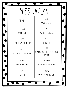# Miss Jaclyn

ADMIN STORE:

Gift Card:

Target & Lush

Amazon & Target

Candy:

Peach rings & Reeses

Cookie:

Snickerdoodle

Snack:

Chocolate covered almonds

Cake:

WHITE CHOCOLATE RASPBERRY

Flower: Peonies & Sunflowers

Color:

Light pink

Restaurant:

SALTGRASS, WINGSTOP & CFA

HOBBY:

Shopping, anything with my dogs & traveling

STARRUCKS:

Strawberry Acai Refresher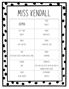## Miss kendall

|                                    | STORE:                                                   |
|------------------------------------|----------------------------------------------------------|
| ADMIN                              | TARGET                                                   |
| GIFT (ARD)                         | CANDY:                                                   |
| TARGET                             | NERD BITES                                               |
| SNACK:                             | COOKIE:                                                  |
| HOT CHEETOS                        | CHOCOLATE CHIP                                           |
| CAKE:                              | HOBBY:                                                   |
| RED VELVET WITH CREAM CHEESE ICING | <b>SHOPPING</b>                                          |
| FLOWER:                            | STARBUCKS:                                               |
| ANY                                | ICED CHAI TEA LATTE WITH OAT MILK &<br>BROWN SUGAR SYRUP |
| COLOR:                             | RESTAURANT:                                              |
| OLIVE GREEN                        | CHIPOTLE                                                 |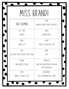#### Miss brandi

| ART/ADMIN                          | STORE:<br>WALMART, HOBBY LOBBY & MICHAELS          |
|------------------------------------|----------------------------------------------------|
| GIFT (ARD.                         | CANDY:                                             |
| AMAZON                             | <b>GUMMY BEARS</b>                                 |
| SNACK:                             | COOKIE:                                            |
| GARDETTO'S                         | OREO'S & CHOCOLATE CHIP                            |
| CAKE:                              | HOBBY:                                             |
| RED VELVET WITH CREAM CHEESE ICING | ART                                                |
| FLOWER:                            | STARBUCKS.                                         |
| SUNFLOWERS & DAISIES               | JAVA (HIP FRAPPUCCINO OR DRAGON<br>FRUIT REFRESHER |
| COLOR:                             | RESTAURANT:                                        |
| ORANGE, YELLOW & TEAL              | CHILI'S, WHATABURGER & SONIC                       |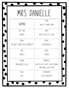# MRS. DANIELLE

|                                   | STORE:                                                    |
|-----------------------------------|-----------------------------------------------------------|
| ADMIN                             | TARGET & HOBBY LOBBY                                      |
| GIFT (ARD)                        | CANDY:                                                    |
| AMAZON                            | NERDS, SKITTLES & TWIX                                    |
| SNACK:                            | COOKIE:                                                   |
| HEB SWEET ONION CHIPS & ONION DIP | SNICKERDOODLE                                             |
| CAKE:                             | HOBBY:                                                    |
| VANILLA                           | <b>COOKING</b>                                            |
| FLOWER:                           | STARBUCKS.                                                |
| SUNFLOWERS & LILIES               | CHAI TEA LATTE WITH TWO SPLENDAS<br>AND VANILLA COLD FOAM |
| COLOR:                            | RESTAURANT:                                               |
| BLUE                              | <b>TEXAS ROADHOUSE</b>                                    |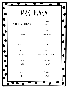# MRS. JUANA

|                        | STORE:                        |
|------------------------|-------------------------------|
| FACILITIES COORDINATOR | <b>MACYS</b>                  |
| GIFT (ARD)             | CANDY:                        |
| BURLINGTON             | SWEET BREAD                   |
| SNACK:                 | COOKIE:                       |
| FRUIT & CHIPS          | OREO                          |
| CAKE:                  | HOBBY:                        |
| <b>CHOCOLATE</b>       | SHOPPING & LISTENING TO MUSIC |
| FLOWER:                | STARBUCKS:                    |
| ROSES                  | MOCHA CAFE                    |
| COLOR:                 | RESTAURANT:                   |
| PINK                   | MAMBO                         |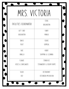# MRS. VICTORIA

|                        | STORE:                    |
|------------------------|---------------------------|
| FACILITIES COORDINATOR | BURLINGTON                |
| GIFT (ARD)             | CANDY:                    |
| BURLINGTON             | MANGO                     |
| SNACK:                 | COOKIE:                   |
| FRUIT                  | OATMEAL                   |
| CAKE:                  | HOBBY:                    |
| VANILLA                | SHOPPING & CLEANING       |
| FLOWER:                | STARBUCKS:                |
| ROSES & SUNFLOWERS     | STRAWBERRY & CREAM FRAPPE |
| COLOR:                 | RESTAURANT:               |
| RED                    | OSTIONERIA MICHOACAN      |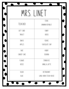### MRS. LINET

|             | STORE:                |
|-------------|-----------------------|
| TEACHER     | BANANA REPUBLIC       |
| GIFT (ARD)  | CANDY:                |
| TARGET      | OREOS                 |
| SNACK:      | COOKIE:               |
| APPLES      | CHOCOLATE CHIP        |
| CAKE:       | HOBBY:                |
| CARROT CAKE | <b>COOKING</b>        |
| FLOWER:     | STARBUCKS:            |
| ROSES       | VANILLA LATTE         |
| COLOR:      | RESTAURANT:           |
| BLUE        | LONG HORN STEAK HOUSE |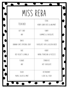#### Miss reba

|                              | STORE:                        |
|------------------------------|-------------------------------|
| TEACHER                      | HOBBY LOBBY, ROSS & WALMART   |
| GIFT (ARD.                   | CANDY:                        |
| ANY                          | GUMMIES & CHOCOLATE           |
| SNACK:                       | COOKIE:                       |
| BANANA CHIPS, POPCORN, JERKY | CHOCOLATE CHIP & GOLDEN OREOS |
| CAKE:                        | HOBBY:                        |
| RED VELVET & VANILLA         | HIKING, TRAVELING & PUZZLES   |
| FLOWER:                      | STARBUCKS.                    |
| ANY                          | HOT CHOCOLATE                 |
| COLOR:                       | RESTAURANT:                   |
| PURPLE, BLACK & MINT         | I LOVE ALL FOOD               |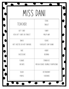| MISS DANI                  |                                  |  |
|----------------------------|----------------------------------|--|
|                            | STORE:                           |  |
| TEACHER                    | TARGET                           |  |
| GIFT (ARD)                 | CANDY:                           |  |
| VISA GIFT CARDS OR TARGET  | MILKY WAY                        |  |
| SNACK:                     | COOKIE:                          |  |
| HOT CHEETOS OR HOT FUNYUNS | CHOCOLATE CHIP CHUNK             |  |
| CAKE:                      | HOBBY:                           |  |
| CHEESECAKE                 | READING                          |  |
| FLOWER:                    | STARBUCKS:                       |  |
| ORCHIDS                    | MOCHA COOKIE CRUMBLE FRAPPUCCINO |  |
| COLOR:                     | RESTAURANT:                      |  |
| PURPLE                     | CHEDDARS                         |  |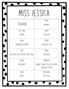### Miss jessica

|                                    | STORE:                                                    |
|------------------------------------|-----------------------------------------------------------|
| TEACHER                            | WALMART                                                   |
| GIFT (ARD)                         | CANDY:                                                    |
| AMAZON                             | <b>CHOCOLATE</b>                                          |
| SNACK:                             | COOKIE:                                                   |
| POPCORN & GOLDFISH                 | <b>CHOCOLATE CHIP</b>                                     |
| CAKE:                              | HOBBY:                                                    |
| RED VELVET WITH CREAM CHEESE ICING | <b>OUTDOORS</b>                                           |
| FLOWER:                            | STARBUCKS.                                                |
| SUNFLOWERS                         | UNSWEET GREEN TEA OR ICED WHITE<br><b>CHOCOLATE MOCHA</b> |
| COLOR:                             | RESTAURANT:                                               |
| PURPLE                             | APPLE BEES                                                |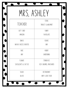## MRS, ASHLEY

|                      | STORE:                 |
|----------------------|------------------------|
| TEACHER              | TARGET & WALMART       |
| GIFT (ARD)           | CANDY:                 |
| AMAZON               | <b>CHOCOLATE</b>       |
| SNACK:               | COOKIE:                |
| NACHO CHEESE DORITOS | ANY                    |
| CAKE:                | HOBBY:                 |
| ANY                  | GARDENING              |
| FLOWER:              | STARBUCKS:             |
| SUCCULENTS & CACTUS  | ICED CARAMEL MACCHIATO |
| COLOR:               | RESTAURANT:            |
| BLACK                | ANY! I LOVE FOOD       |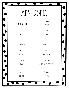### MRS. DORIA

|                  | STORE:                |
|------------------|-----------------------|
| EXPEDITOR        | TARGET                |
| GIFT (ARD)       | CANDY:                |
| TARGET           | CARAMEL               |
| SNACK:           | COOKIE:               |
| CHIPS & DIP      | CHOCOLATE CHIP        |
| CAKE:            | HOBBY:                |
| <b>CHOCOLATE</b> | GARDENING             |
| FLOWER:          | STARBUCKS:            |
| DAISY            | WHITE CHOCOLATE MOCHA |
| COLOR:           | RESTAURANT:           |
| PERIWINKLE       | TEX-MEX               |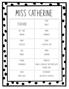# MISS CATHERINE

|             | STORE:                                                   |
|-------------|----------------------------------------------------------|
| TEACHER     | TARGET                                                   |
| GIFT (ARD.  | CANDY:                                                   |
| AMAZON      | STARBURST                                                |
| SNACK:      | COOKIE:                                                  |
| GOLDFISH    | CHOCOLATE CHIP                                           |
| CAKE:       | HOBBY:                                                   |
| MARBLE      | SHOPPING                                                 |
| FLOWER:     | STARBUCKS:                                               |
| HYDRANGEA   | DOUBLE CHOCOLATE CHIP FRAPPE WITH<br><b>COCONUT MILK</b> |
| COLOR:      | RESTAURANT:                                              |
| PINK & BLUE | BULLRITOS & CHICKFILA                                    |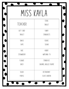| MISS KAYLA   |                       |  |
|--------------|-----------------------|--|
|              | STORE:                |  |
| TEACHER      | TARGET                |  |
| GIFT (ARD)   | CANDY:                |  |
| TARGET       | STARBURSTS            |  |
| SNACK:       | COOKIE:               |  |
| <b>CHIPS</b> | SUGAR                 |  |
| CAKE:        | HOBBY:                |  |
| STRAWBERRY   | WATCHING TV           |  |
| FLOWER:      | STARBUCKS:            |  |
| DAISY        | CARAMEL BRULEE FRAPPE |  |
| COLOR:       | RESTAURANT:           |  |
| PURPLE       | OLIVE GARDEN          |  |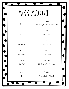#### MISS MAGGIE

|               | STORE:                              |
|---------------|-------------------------------------|
| TEACHER       | JAMES AVERY, MARSHALLS, HOBBY LOBBY |
| GIFT (ARD)    | CANDY:                              |
| STARBUCKS     | REESE'S CUPS                        |
| SNACK:        | COOKIE:                             |
| LIMON CHIPS   | MACADAMIA NUT                       |
| CAKE:         | HOBBY:                              |
| BIRTHDAY CAKE | PHOTOGRAPHY                         |
| FLOWER:       | STARBUCKS:                          |
| SUNFLOWER     | PINK DRINK WITH COLD FOAM           |
| COLOR:        | RESTAURANT:                         |
| PINK          | CFA, CANES & STARBUCKS              |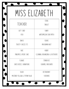## MISS ELIZABETH

|                               | STORE:                                    |
|-------------------------------|-------------------------------------------|
| TEACHER                       | TARGET                                    |
| GIFT (ARD)                    | CANDY:                                    |
| VISA                          | WATERMELON SOUR PATCH                     |
| SNACK:                        | COOKIE:                                   |
| <b>TOASTY CHEEZE ITS</b>      | MACADAMIA NUT                             |
| CAKE:                         | HOBBY:                                    |
| PINEAPPLE UPSIDE CAKE         | <b>CLEANING ORGANIZING &amp; OUTDOORS</b> |
| FLOWER:                       | STARBUCKS:                                |
| DAISY, ROSES, CARNATIONS      | CARAMEL MACCHIATO                         |
| COLOR:                        | RESTAURANT:                               |
| MUSTARD YELLOW & TIFFANY BLUE | <b>CHEDDARS</b>                           |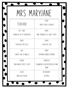## MRS. MARYJANE

|                           | STORE:                                     |
|---------------------------|--------------------------------------------|
| TEACHER                   | TARGET, NIKE & GARAGE                      |
| GIFT (ARD)                | CANDY:                                     |
| STARBUCKS OR TX ROADHOUSE | PINK STARBURSTS & SWEET TARTS              |
| SNACK:                    | COOKIE:                                    |
| CHOCOLATE PRETZELS        | <b>CHOCOLATE CHIP</b>                      |
| CAKE:                     | HOBBY:                                     |
| CARROT CAKE & VANILLA     | SHOPPING, BAKING/COOKING                   |
| FLOWER:                   | STARBUCKS.                                 |
| SUNFLOWERS, ROSES, TULIPS | STRAWBERRY ACAI REFRESHER OR PINK<br>DRINK |
| COLOR:                    | RESTAURANT:                                |
| PINK, BLUE, MELON         | OUTBACK                                    |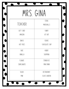| MRS. GINA  |                |
|------------|----------------|
|            | STORE:         |
| TEACHER    | MARSHALLS      |
| GIFT (ARD) | CANDY:         |
| AMAZON     | KIT KAT        |
| SNACK:     | COOKIE:        |
| HOT FRIES  | CHOCOLATE CHIP |
| CAKE:      | HOBBY:         |
| VANILLA    | SHOPPING       |
| FLOWER:    | STARBUCKS:     |
| SUNFLOWERS | PINK DRINK     |
| COLOR      | RESTAURANT:    |
| PINK       | OLIVE GARDEN   |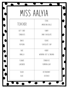# MISS AALYIA

| STORE:                |            |
|-----------------------|------------|
| AMERICAN EAGLE        | TEACHER    |
| CANDY:                | GIFT (ARD) |
| DARK CHOCOLATE        | STARBUCKS  |
| COOKIE:               | SNACK:     |
| CHOCOLATE CHIP        | POPCORN    |
| HOBBY:                | CAKE:      |
| WORKING OUT & SINGING | VANILLA    |
| STARBUCKS:            | FLOWER:    |
| PUMPKIN LOAF          | LAVENDER   |
| RESTAURANT:           | COLOR:     |
| OUTBACK               | BLUE       |
|                       |            |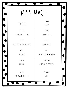### MISS MACIE

|                            | STORE:                     |
|----------------------------|----------------------------|
| TEACHER                    | BUCKLE                     |
| GIFT (ARD)                 | CANDY:                     |
| AMAZON, BUCKLE & VISA      | SOUR PATCH KIDS            |
| SNACK:                     | COOKIE:                    |
| CHOCOLATE COVERED PRETZELS | SUGAR COOKIE               |
| CAKE:                      | HOBBY:                     |
| <b>CHOCOLATE</b>           | OUTDOORS, FISHING, CAMPING |
| FLOWER:                    | STARBUCKS:                 |
| PINK ROSES                 | WHITE CHOCOLATE MOCHA      |
| COLOR:                     | RESTAURANT:                |
| BABY BLUE & LIGHT PINK     | <b>CHILIS</b>              |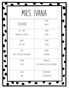|                           | MRS. IVANA                     |
|---------------------------|--------------------------------|
|                           | STORE:                         |
| TEACHER                   | TARGET                         |
| GIFT (ARD)                | CANDY:                         |
| STARBUCKS OR TARGET       | KITKAT                         |
| SNACK:                    | COOKIE:                        |
| HOT CHIPS                 | SUGAR                          |
| CAKE:                     | HOBBY:                         |
| WHITE CHOCOLATE RASPBERRY | SHOPPING                       |
| FLOWER:                   | STARBUCKS:                     |
| TULIPS                    | ICED MATCHA LATTE WITH OATMILK |
| COLOR:                    | RESTAURANT:                    |
| PINK                      | TX ROADHOUSE                   |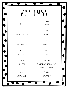# MISS EMMA

|                  | STORE:                                                |
|------------------|-------------------------------------------------------|
| TEACHER          | TARGET                                                |
| GIFT (ARD)       | CANDY:                                                |
| TARGET OR AMAZON | KINDER EGGS                                           |
| SNACK:           | COOKIE:                                               |
| PIZZA GOLDFISH   | <b>CHOCOLATE CHIP</b>                                 |
| CAKE:            | HOBBY:                                                |
| RED VELVET       | <b>COOKING</b>                                        |
| FLOWER:          | STARBUCKS.                                            |
| CARNATIONS       | STRAWBERRY ACAI LEMONADE WITH<br>DRAGON FRUIT BLENDED |
| COLOR:           | RESTAURANT:                                           |
| EMERALD GREEN    | OLIVE GARDEN                                          |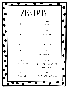# Miss Emily

|                    | STORE:                                               |
|--------------------|------------------------------------------------------|
| TEACHER            | TARGET                                               |
| GIFT (ARD)         | CANDY:                                               |
| TARGET             | SOUR STRAWS                                          |
| SNACK:             | COOKIE:                                              |
| HOT CHEETOS        | OATMEAL RAISIN                                       |
| CAKE:              | HOBBY:                                               |
| TRES LECHES        | SHOPPING, WALKING, NAILS                             |
| FLOWER:            | STARBUCKS:                                           |
| ANYTHING BUT ROSES | VANILLA BEAN WITH LIGHT ICE & EXTRA<br>WHIPPED (REAM |
| COLOR:             | RESTAURANT:                                          |
| PASTEL COLORS      | TEXAS ROADHOUSE & OLIVE GARDEN                       |
|                    |                                                      |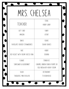## MRS. CHELSEA

|                                    | STORE:                                                        |
|------------------------------------|---------------------------------------------------------------|
| TEACHER                            | HOBBY LOBBY                                                   |
| GIFT (ARD.                         | CANDY:                                                        |
| AMAZON                             | KITKAT                                                        |
| SNACK:                             | COOKIE:                                                       |
| CHOCOLATE COVERED STRAWBERRIES     | SUGAR COOKIES                                                 |
| CAKE:                              | HOBBY:                                                        |
| RED VELVET WITH CREAM CHEESE ICING | <b>COOKING</b>                                                |
| FLOWER:                            | STARBUCKS.                                                    |
| SUNFLOWER & BLUEBONNET             | CARAMEL RIBBON CRUNCH FRAPPE OR<br>COLD BREW WITH HEAVY CREAM |
| COLOR:                             | RESTAURANT:                                                   |
| TURQUOISE, PINK OR BLACK           | TX ROADHOUSE                                                  |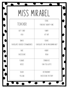# Miss mirabel

|                                | STORE:                          |
|--------------------------------|---------------------------------|
| TEACHER                        | FOREVER TWENTY-ONE              |
| GIFT (ARD)                     | CANDY:                          |
| VISA                           | KIT KAT                         |
| SNACK:                         | COOKIE:                         |
| CHOCOLATE COVERED STRAWBERRIES | CHOCOLATE CHIP OR MACADAMIA NUT |
| CAKE:                          | HOBBY:                          |
| <b>CHEESECAKE</b>              | YOGA                            |
| FLOWER:                        | STARBUCKS.                      |
| ROSES                          | <b>CHAI TEA LATTE</b>           |
| COLOR:                         | RESTAURANT:                     |
| YELLOW                         | <b>CHEESECAKE FACTORY</b>       |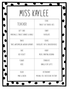### MISS KAYLEE

|                                   | STORE:                           |
|-----------------------------------|----------------------------------|
| TEACHER                           | TARGET OR TRADER JOES            |
| GIFT (ARD)                        | CANDY:                           |
| MARSHALLS, TARGET, BARNES & NOBLE | <b>CHOCOLATE</b>                 |
| SNACK:                            | COOKIE:                          |
| TAKIS, WATERMELON, WASABI ALMONDS | CHOCOLATE CHIP & SNICKERDOODLE   |
| CAKE:                             | HOBBY:                           |
| RED VELVET                        | MUSIC, PAINTING, READING         |
| FLOWER:                           | STARBUCKS.                       |
| ROSE                              | VANILLA SOY LATTE                |
| COLOR:                            | RESTAURANT:                      |
| PINK & GREEN                      | MICHIRU, CFA, CHEESECAKE FACTORY |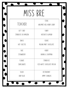#### Miss Bre

|                     | STORE:                     |
|---------------------|----------------------------|
| TEACHER             | WALMART, HEB, HOBBY LOBBY  |
| GIFT (ARD)          | CANDY:                     |
| STARBUCKS OR AMAZON | HERSHEYS ALMOND            |
| SNACK:              | COOKIE:                    |
| HOT CHEETOS         | MILANO MINT CHOCOLATE      |
| CAKE:               | HOBBY:                     |
| STRAWBERRY          | BAKING & SHOPPING          |
| FLOWER:             | STARBUCKS.                 |
| SUNFLOWERS          | ICED WHITE CHOCOLATE MOCHA |
| COLOR:              | RESTAURANT:                |
| <b>BABY BLUE</b>    | JIMMY CHANGAS              |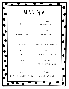| MISS MIA                           |                                |
|------------------------------------|--------------------------------|
| TEACHER                            | STORE:<br>MARSHALLS & TARGET   |
| GIFT (ARD)                         | CANDY:                         |
| STARBUCKS & AMAZON                 | AIR HEADS & TWIX               |
| SNACK:                             | COOKIE:                        |
| HOT CHEETOS                        | WHITE CHOCOLATE MACADAMIAN NUT |
| CAKE:                              | HOBBY:                         |
| FUNFETTI                           | YOGA, PAINTING, READING, MUSIC |
| FLOWER:                            | STARBUCKS:                     |
| ANY                                | ICED WHITE CHOCOLATE MOCHA     |
| COLOR:                             | RESTAURANT:                    |
| LAVENDER, HUNTER GREEN, SLATE BLUE | JINYA & THE COOK SHACK         |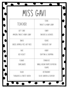# Miss gavi

|                                | STORE:                                 |
|--------------------------------|----------------------------------------|
| TEACHER                        | TARGET & HOBBY LOBBY                   |
| GIFT (ARD)                     | CANDY:                                 |
| AMAZON, TARGET, HOBBY LOBBY    | SNICKERS & GUSHERS                     |
| SNACK:                         | COOKIE:                                |
| OREOS, OATMEAL PIES, HOT FRIES | CHOCOLATE CHIP                         |
| CAKE:                          | HOBBY:                                 |
| RED VELVET                     | CRAFTING & SHOPPING                    |
| FLOWER:                        | STARBUCKS.                             |
| SUNFLOWERS                     | VANILLA BEAN FRAPPE OR MOCHA<br>FRAPPE |
| COLOR:                         | RESTAURANT:                            |
| TURQUOISE & FOREST GREEN       | OLIVE GARDEN & SEAFOOD                 |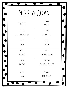#### MISS REAGAN

|                       | STORE:              |
|-----------------------|---------------------|
| TEACHER               | PETSMART            |
| GIFT (ARD)            | CANDY:              |
| AMAZON, CFA, PETSMART | ANYTHING SOUR       |
| SNACK:                | COOKIE:             |
| <b>CEREAL</b>         | VANILLA             |
| CAKE:                 | HOBBY:              |
| <b>CHOCOLATE</b>      | TEACHING & SLEEPING |
| FLOWER:               | STARBUCKS:          |
| SUNFLOWER             | STRAWBERRY LEMONADE |
| COLOR:                | RESTAURANT:         |
| YELLOW                | LUPE TORTILLA       |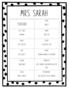### MRS. SARAH

|               | STORE:                                  |
|---------------|-----------------------------------------|
| TEACHER       | TARGET                                  |
| GIFT (ARD)    | CANDY:                                  |
| AMAZON        | TAKE FIVE                               |
| SNACK:        | COOKIE:                                 |
| HOT CHEETOS   | CHOCOLATE CHIP                          |
| CAKE:         | HOBBY:                                  |
| RED VELVET    | COOKING/BAKING & SHOPPING               |
| FLOWER:       | STARBUCKS.                              |
| SUNFLOWER     | ICED CARAMEL MACCHIATO WITH OAT<br>MILK |
| COLOR:        | RESTAURANT:                             |
| PINK & PURPLE | RED LOBSTER, OLIVE GARDEN               |